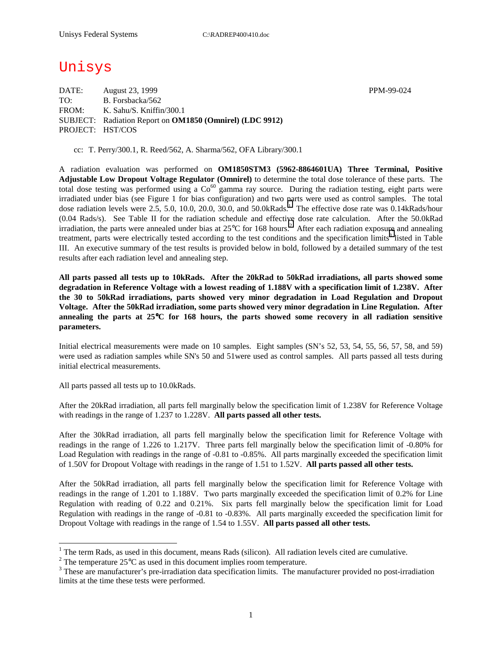# Unisys

DATE: August 23, 1999 PPM-99-024 TO: B. Forsbacka/562 FROM: K. Sahu/S. Kniffin/300.1 SUBJECT: Radiation Report on **OM1850 (Omnirel) (LDC 9912)** PROJECT: HST/COS

cc: T. Perry/300.1, R. Reed/562, A. Sharma/562, OFA Library/300.1

A radiation evaluation was performed on **OM1850STM3 (5962-8864601UA) Three Terminal, Positive Adjustable Low Dropout Voltage Regulator (Omnirel)** to determine the total dose tolerance of these parts. The total dose testing was performed using a  $Co<sup>60</sup>$  gamma ray source. During the radiation testing, eight parts were irradiated under bias (see Figure 1 for bias configuration) and two parts were used as control samples. The total dose radiation levels were 2.5, 5.0, 10.0, 20.0, 30.0, and 50.0kRads.<sup>1</sup> The effective dose rate was 0.14kRads/hour (0.04 Rads/s). See Table II for the radiation schedule and effective dose rate calculation. After the 50.0kRad irradiation, the parts were annealed under bias at  $25^{\circ}$ C for 168 hours.<sup>2</sup> After each radiation exposure and annealing treatment, parts were electrically tested according to the test conditions and the specification limits<sup>3</sup> listed in Table III. An executive summary of the test results is provided below in bold, followed by a detailed summary of the test results after each radiation level and annealing step.

**All parts passed all tests up to 10kRads. After the 20kRad to 50kRad irradiations, all parts showed some degradation in Reference Voltage with a lowest reading of 1.188V with a specification limit of 1.238V. After the 30 to 50kRad irradiations, parts showed very minor degradation in Load Regulation and Dropout Voltage. After the 50kRad irradiation, some parts showed very minor degradation in Line Regulation. After annealing the parts at 25**°**C for 168 hours, the parts showed some recovery in all radiation sensitive parameters.** 

Initial electrical measurements were made on 10 samples. Eight samples (SN's 52, 53, 54, 55, 56, 57, 58, and 59) were used as radiation samples while SN's 50 and 51were used as control samples. All parts passed all tests during initial electrical measurements.

All parts passed all tests up to 10.0kRads.

 $\overline{a}$ 

After the 20kRad irradiation, all parts fell marginally below the specification limit of 1.238V for Reference Voltage with readings in the range of 1.237 to 1.228V. **All parts passed all other tests.**

After the 30kRad irradiation, all parts fell marginally below the specification limit for Reference Voltage with readings in the range of 1.226 to 1.217V. Three parts fell marginally below the specification limit of -0.80% for Load Regulation with readings in the range of -0.81 to -0.85%. All parts marginally exceeded the specification limit of 1.50V for Dropout Voltage with readings in the range of 1.51 to 1.52V. **All parts passed all other tests.**

After the 50kRad irradiation, all parts fell marginally below the specification limit for Reference Voltage with readings in the range of 1.201 to 1.188V. Two parts marginally exceeded the specification limit of 0.2% for Line Regulation with reading of 0.22 and 0.21%. Six parts fell marginally below the specification limit for Load Regulation with readings in the range of -0.81 to -0.83%. All parts marginally exceeded the specification limit for Dropout Voltage with readings in the range of 1.54 to 1.55V. **All parts passed all other tests.**

1

<sup>&</sup>lt;sup>1</sup> The term Rads, as used in this document, means Rads (silicon). All radiation levels cited are cumulative.

<sup>&</sup>lt;sup>2</sup> The temperature 25 $^{\circ}$ C as used in this document implies room temperature.  $^3$  These are manufacturer's are irrediction date apositionism limits. The manufacturer's

<sup>&</sup>lt;sup>3</sup> These are manufacturer's pre-irradiation data specification limits. The manufacturer provided no post-irradiation limits at the time these tests were performed.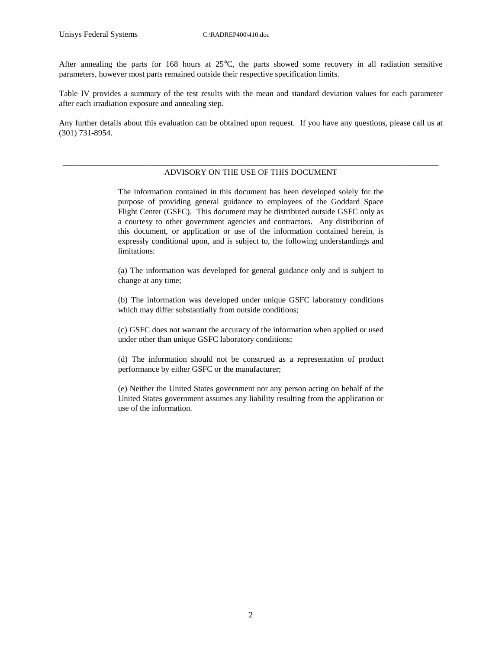After annealing the parts for 168 hours at 25°C, the parts showed some recovery in all radiation sensitive parameters, however most parts remained outside their respective specification limits.

Table IV provides a summary of the test results with the mean and standard deviation values for each parameter after each irradiation exposure and annealing step.

Any further details about this evaluation can be obtained upon request. If you have any questions, please call us at (301) 731-8954.

### \_\_\_\_\_\_\_\_\_\_\_\_\_\_\_\_\_\_\_\_\_\_\_\_\_\_\_\_\_\_\_\_\_\_\_\_\_\_\_\_\_\_\_\_\_\_\_\_\_\_\_\_\_\_\_\_\_\_\_\_\_\_\_\_\_\_\_\_\_\_\_\_\_\_\_\_\_\_\_\_\_\_\_\_\_\_\_\_\_\_\_ ADVISORY ON THE USE OF THIS DOCUMENT

The information contained in this document has been developed solely for the purpose of providing general guidance to employees of the Goddard Space Flight Center (GSFC). This document may be distributed outside GSFC only as a courtesy to other government agencies and contractors. Any distribution of this document, or application or use of the information contained herein, is expressly conditional upon, and is subject to, the following understandings and limitations:

(a) The information was developed for general guidance only and is subject to change at any time;

(b) The information was developed under unique GSFC laboratory conditions which may differ substantially from outside conditions;

(c) GSFC does not warrant the accuracy of the information when applied or used under other than unique GSFC laboratory conditions;

(d) The information should not be construed as a representation of product performance by either GSFC or the manufacturer;

(e) Neither the United States government nor any person acting on behalf of the United States government assumes any liability resulting from the application or use of the information.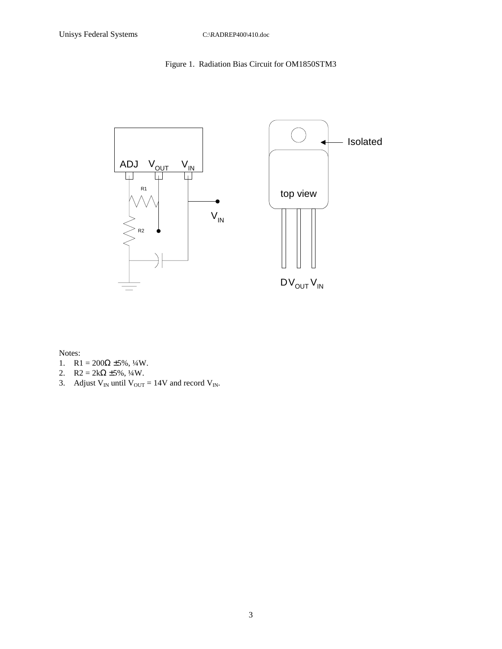## Figure 1. Radiation Bias Circuit for OM1850STM3



Notes:

- 1.  $R1 = 200\Omega \pm 5\%, \frac{1}{4}W$ .
- 2.  $R2 = 2k\Omega \pm 5\%, \frac{1}{4}W$ .
- 3. Adjust  $V_{IN}$  until  $V_{OUT} = 14V$  and record  $V_{IN}$ .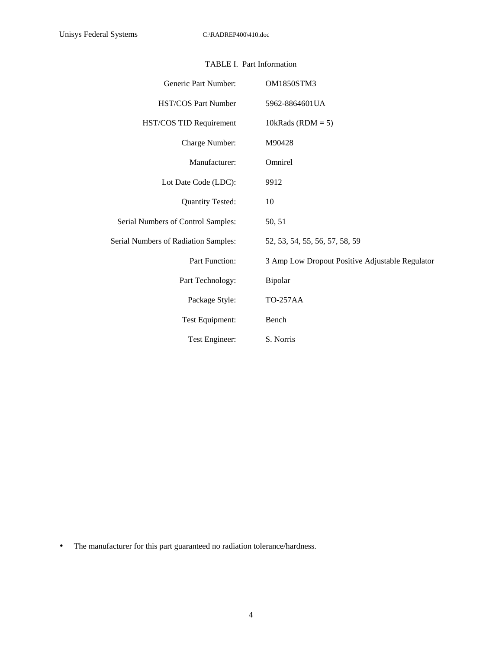|  | <b>TABLE I. Part Information</b> |
|--|----------------------------------|
|--|----------------------------------|

| Generic Part Number:                 | <b>OM1850STM3</b>                               |
|--------------------------------------|-------------------------------------------------|
| HST/COS Part Number                  | 5962-8864601UA                                  |
| HST/COS TID Requirement              | 10kRads (RDM = $5$ )                            |
| Charge Number:                       | M90428                                          |
| Manufacturer:                        | Omnirel                                         |
| Lot Date Code (LDC):                 | 9912                                            |
| <b>Quantity Tested:</b>              | 10                                              |
| Serial Numbers of Control Samples:   | 50, 51                                          |
| Serial Numbers of Radiation Samples: | 52, 53, 54, 55, 56, 57, 58, 59                  |
| Part Function:                       | 3 Amp Low Dropout Positive Adjustable Regulator |
| Part Technology:                     | Bipolar                                         |
| Package Style:                       | <b>TO-257AA</b>                                 |
| Test Equipment:                      | Bench                                           |
| Test Engineer:                       | S. Norris                                       |

• The manufacturer for this part guaranteed no radiation tolerance/hardness.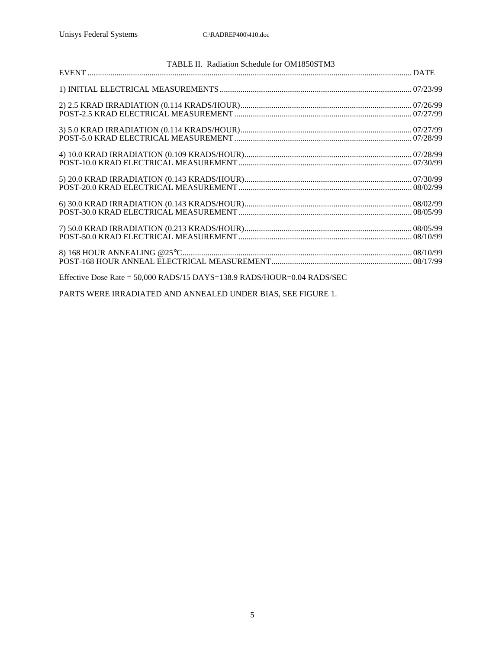| TABLE II. Radiation Schedule for OM1850STM3                               |  |
|---------------------------------------------------------------------------|--|
|                                                                           |  |
|                                                                           |  |
|                                                                           |  |
|                                                                           |  |
|                                                                           |  |
|                                                                           |  |
|                                                                           |  |
|                                                                           |  |
|                                                                           |  |
|                                                                           |  |
|                                                                           |  |
|                                                                           |  |
|                                                                           |  |
|                                                                           |  |
|                                                                           |  |
|                                                                           |  |
|                                                                           |  |
| Effective Dose Rate = $50,000$ RADS/15 DAYS=138.9 RADS/HOUR=0.04 RADS/SEC |  |

PARTS WERE IRRADIATED AND ANNEALED UNDER BIAS, SEE FIGURE 1.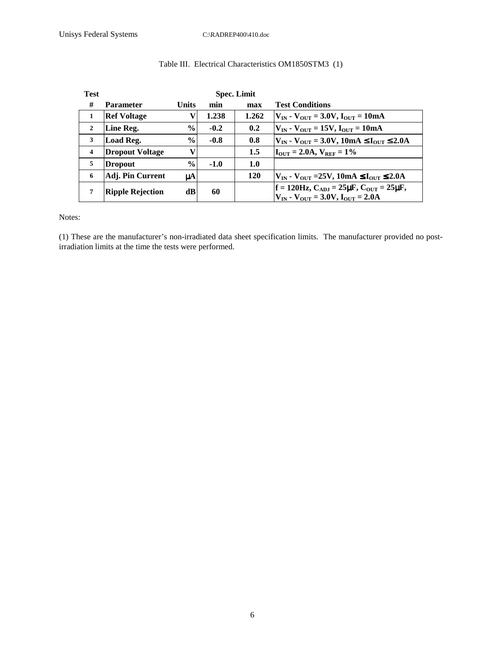| <b>Test</b>             |                         |               |        | <b>Spec. Limit</b> |                                                                                                                   |
|-------------------------|-------------------------|---------------|--------|--------------------|-------------------------------------------------------------------------------------------------------------------|
| #                       | <b>Parameter</b>        | <b>Units</b>  | min    | max                | <b>Test Conditions</b>                                                                                            |
| 1                       | <b>Ref Voltage</b>      |               | 1.238  | 1.262              | $ V_{IN} - V_{OUT}  = 3.0V, I_{OUT} = 10mA$                                                                       |
| $\overline{2}$          | Line Reg.               | $\frac{0}{0}$ | $-0.2$ | 0.2                | $ V_{IN} - V_{OUT}  = 15V, I_{OUT} = 10mA$                                                                        |
| 3                       | Load Reg.               | $\frac{6}{9}$ | $-0.8$ | 0.8                | $ V_{IN} - V_{OUT} = 3.0V, 10mA \le I_{OUT} \le 2.0A$                                                             |
| $\overline{\mathbf{4}}$ | <b>Dropout Voltage</b>  |               |        | 1.5                | $I_{\text{OUT}} = 2.0A, V_{\text{REF}} = 1\%$                                                                     |
| 5                       | <b>Dropout</b>          | $\frac{6}{9}$ | $-1.0$ | 1.0                |                                                                                                                   |
| 6                       | Adj. Pin Current        | μA            |        | 120                | $ V_{IN} - V_{OUT} = 25V, 10mA \le I_{OUT} \le 2.0A$                                                              |
| 7                       | <b>Ripple Rejection</b> | dB            | 60     |                    | $ f = 120$ Hz, C <sub>ADJ</sub> = 25µF, C <sub>OUT</sub> = 25µF,<br>$V_{IN}$ - $V_{OUT}$ = 3.0V, $I_{OUT}$ = 2.0A |

### Table III. Electrical Characteristics OM1850STM3 (1)

Notes:

(1) These are the manufacturer's non-irradiated data sheet specification limits. The manufacturer provided no postirradiation limits at the time the tests were performed.